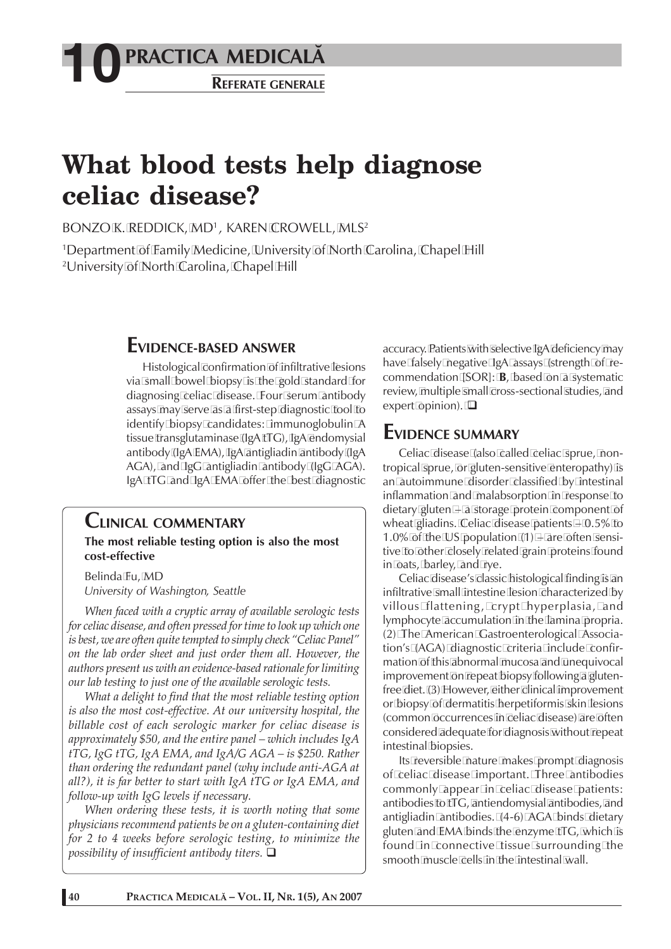## **PRACTICA MEDICALÅ 10 REFERATE GENERALE**

# **What blood tests help diagnose celiac disease?**

BONZO K. REDDICK, MD<sup>1</sup>, KAREN CROWELL, MLS<sup>2</sup>

1 Department of Family Medicine, University of North Carolina, Chapel Hill 2 University of North Carolina, Chapel Hill

### **EVIDENCE-BASED ANSWER**

Histological confirmation of infiltrative lesions via small bowel biopsy is the gold standard for diagnosing celiac disease. Four serum antibody assays may serve as a first-step diagnostic tool to identify biopsy candidates: immunoglobulin A tissue transglutaminase (IgA tTG), IgA endomysial antibody (IgA EMA), IgA antigliadin antibody (IgA AGA), and IgG antigliadin antibody (IgG AGA). IgA tTG and IgA EMA offer the best diagnostic

#### **CLINICAL COMMENTARY**

**The most reliable testing option is also the most cost-effective**

Belinda Fu, MD *University of Washington, Seattle*

*When faced with a cryptic array of available serologic tests for celiac disease, and often pressed for time to look up which one is best, we are often quite tempted to simply check "Celiac Panel" on the lab order sheet and just order them all. However, the authors present us with an evidence-based rationale for limiting our lab testing to just one of the available serologic tests.*

*What a delight to find that the most reliable testing option is also the most cost-effective. At our university hospital, the billable cost of each serologic marker for celiac disease is approximately \$50, and the entire panel – which includes IgA tTG, IgG tTG, IgA EMA, and IgA/G AGA – is \$250. Rather than ordering the redundant panel (why include anti-AGA at all?), it is far better to start with IgA tTG or IgA EMA, and follow-up with IgG levels if necessary.*

*When ordering these tests, it is worth noting that some physicians recommend patients be on a gluten-containing diet for 2 to 4 weeks before serologic testing, to minimize the possibility of insufficient antibody titers.* 

accuracy. Patients with selective IgA deficiency may have falsely negative IgA assays (strength of recommendation [SOR]: **B**, based on a systematic review, multiple small cross-sectional studies, and expert opinion).  $\square$ 

#### **EVIDENCE SUMMARY**

Celiac disease (also called celiac sprue, nontropical sprue, or gluten-sensitive enteropathy) is an autoimmune disorder classified by intestinal inflammation and malabsorption in response to dietary gluten – a storage protein component of wheat gliadins. Celiac disease patients – 0.5% to 1.0% of the US population  $(1)$  – are often sensitive to other closely related grain proteins found in oats, barley, and rye.

Celiac disease's classic histological finding is an infiltrative small intestine lesion characterized by villous flattening, crypt hyperplasia, and lymphocyte accumulation in the lamina propria. (2) The American Gastroenterological Association's (AGA) diagnostic criteria include confirmation of this abnormal mucosa and unequivocal improvement on repeat biopsy following a glutenfree diet. (3) However, either clinical improvement or biopsy of dermatitis herpetiformis skin lesions (common occurrences in celiac disease) are often considered adequate for diagnosis without repeat intestinal biopsies.

Its reversible nature makes prompt diagnosis of celiac disease important. Three antibodies commonly appear in celiac disease patients: antibodies to tTG, antiendomysial antibodies, and antigliadin antibodies. (4-6) AGA binds dietary gluten and EMA binds the enzyme tTG, which is found in connective tissue surrounding the smooth muscle cells in the intestinal wall.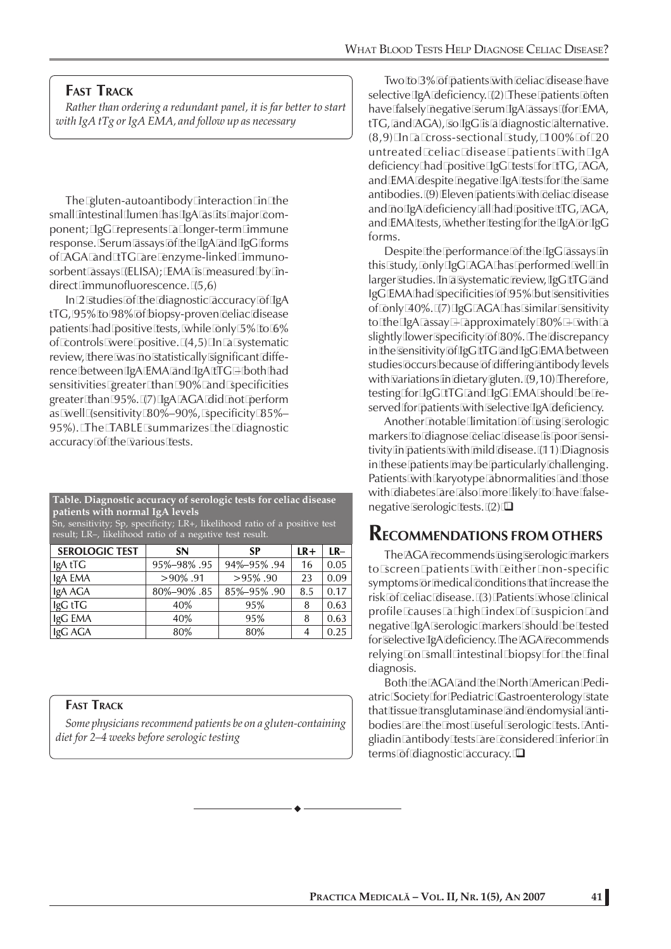#### **FAST TRACK**

*Rather than ordering a redundant panel, it is far better to start with IgA tTg or IgA EMA, and follow up as necessary*

The gluten-autoantibody interaction in the small intestinal lumen has IgA as its major component; IgG represents a longer-term immune response. Serum assays of the IgA and IgG forms of AGA and tTG are enzyme-linked immunosorbent assays (ELISA); EMA is measured by indirect immunofluorescence. (5,6)

In 2 studies of the diagnostic accuracy of IgA tTG, 95% to 98% of biopsy-proven celiac disease patients had positive tests, while only 5% to 6% of controls were positive. (4,5) In a systematic review, there was no statistically significant difference between IgA EMA and IgA tTG – both had sensitivities greater than 90% and specificities greater than 95%. (7) IgA AGA did not perform as well (sensitivity 80%–90%, specificity 85%– 95%). The TABLE summarizes the diagnostic accuracy of the various tests.

**Table. Diagnostic accuracy of serologic tests for celiac disease patients with normal IgA levels**

Sn, sensitivity; Sp, specificity; LR+, likelihood ratio of a positive test result; LR–, likelihood ratio of a negative test result.

| <b>SEROLOGIC TEST</b> | <b>SN</b>   | <b>SP</b>   | $LR+$ | $LR-$ |
|-----------------------|-------------|-------------|-------|-------|
| IgA tTG               | 95%-98%.95  | 94%-95%.94  | 16    | 0.05  |
| IgA EMA               | $>90\%$ .91 | $>95\%$ .90 | 23    | 0.09  |
| IgA AGA               | 80%-90%.85  | 85%-95%.90  | 8.5   | 0.17  |
| IgG tTG               | 40%         | 95%         | 8     | 0.63  |
| IgG EMA               | 40%         | 95%         | 8     | 0.63  |
| IgG AGA               | 80%         | 80%         | 4     | 0.25  |

#### **FAST TRACK**

*Some physicians recommend patients be on a gluten-containing diet for 2–4 weeks before serologic testing*

Two to 3% of patients with celiac disease have selective IgA deficiency. (2) These patients often have falsely negative serum IgA assays (for EMA, tTG, and AGA), so IgG is a diagnostic alternative. (8,9) In a cross-sectional study, 100% of 20 untreated celiac disease patients with IgA deficiency had positive IgG tests for tTG, AGA, and EMA despite negative IgA tests for the same antibodies. (9) Eleven patients with celiac disease and no IgA deficiency all had positive tTG, AGA, and EMA tests, whether testing for the IgA or IgG forms.

Despite the performance of the IgG assays in this study, only IgG AGA has performed well in larger studies. In a systematic review, IgG tTG and IgG EMA had specificities of 95% but sensitivities of only 40%. (7) IgG AGA has similar sensitivity to the IgA assay – approximately  $80\%$  – with a slightly lower specificity of 80%. The discrepancy in the sensitivity of IgG tTG and IgG EMA between studies occurs because of differing antibody levels with variations in dietary gluten. (9,10) Therefore, testing for IgG tTG and IgG EMA should be reserved for patients with selective IgA deficiency.

Another notable limitation of using serologic markers to diagnose celiac disease is poor sensitivity in patients with mild disease. (11) Diagnosis in these patients may be particularly challenging. Patients with karyotype abnormalities and those with diabetes are also more likely to have falsenegative serologic tests. (2)  $\Box$ 

#### **RECOMMENDATIONS FROM OTHERS**

The AGA recommends using serologic markers to screen patients with either non-specific symptoms or medical conditions that increase the risk of celiac disease. (3) Patients whose clinical profile causes a high index of suspicion and negative IgA serologic markers should be tested for selective IgA deficiency. The AGA recommends relying on small intestinal biopsy for the final diagnosis.

Both the AGA and the North American Pediatric Society for Pediatric Gastroenterology state that tissue transglutaminase and endomysial antibodies are the most useful serologic tests. Antigliadin antibody tests are considered inferior in terms of diagnostic accuracy.  $\square$